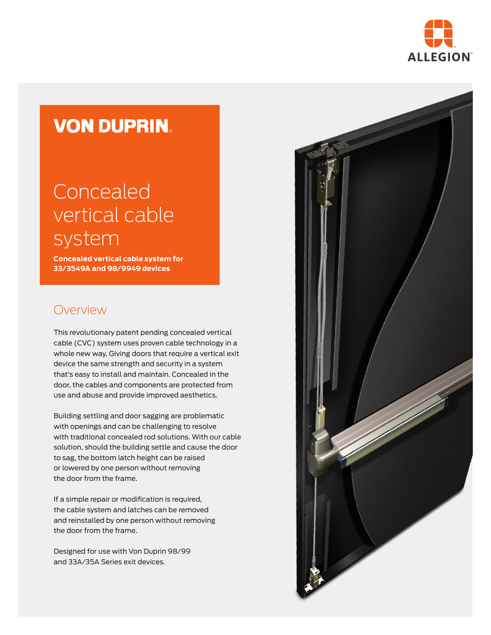

## **VON DUPRIN**

# Concealed vertical cable system

**Concealed vertical cable system for 33/3549A and 98/9949 devices**

## Overview

This revolutionary patent pending concealed vertical cable (CVC) system uses proven cable technology in a whole new way. Giving doors that require a vertical exit device the same strength and security in a system that's easy to install and maintain. Concealed in the door, the cables and components are protected from use and abuse and provide improved aesthetics.

Building settling and door sagging are problematic with openings and can be challenging to resolve with traditional concealed rod solutions. With our cable solution, should the building settle and cause the door to sag, the bottom latch height can be raised or lowered by one person without removing the door from the frame.

If a simple repair or modification is required, the cable system and latches can be removed and reinstalled by one person without removing the door from the frame.

Designed for use with Von Duprin 98/99 and 33A/35A Series exit devices.